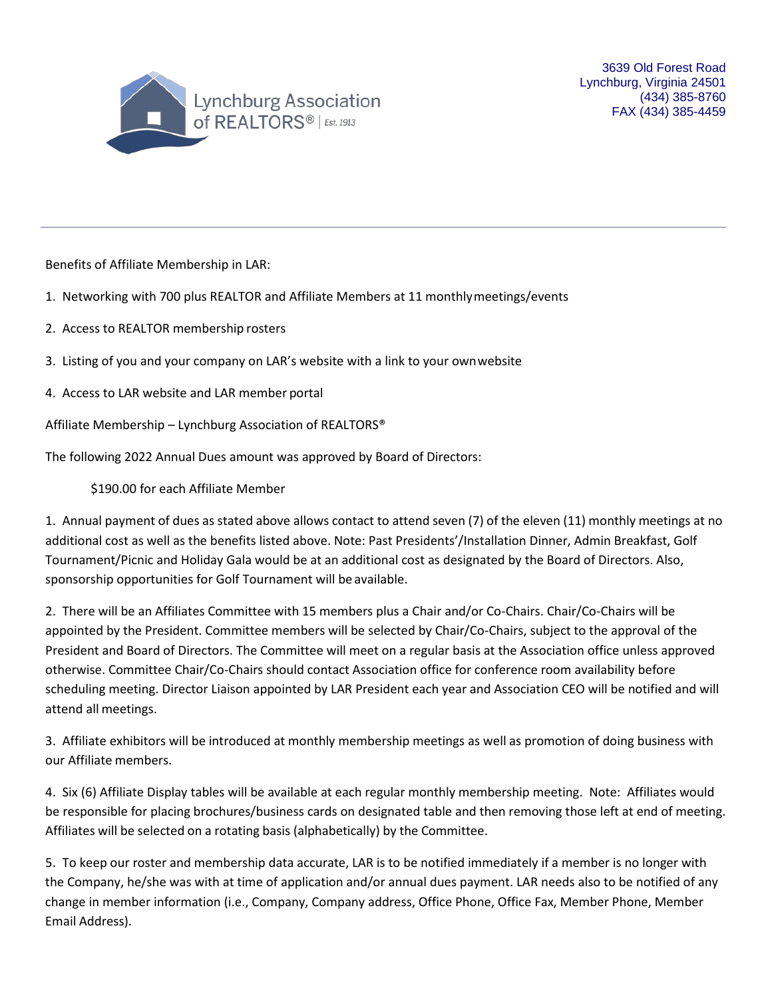

Benefits of Affiliate Membership in LAR:

- 1. Networking with 700 plus REALTOR and Affiliate Members at 11 monthlymeetings/events
- 2. Access to REALTOR membership rosters
- 3. Listing of you and your company on LAR's website with a link to your ownwebsite
- 4. Access to LAR website and LAR member portal

Affiliate Membership – Lynchburg Association of REALTORS®

The following 2022 Annual Dues amount was approved by Board of Directors:

\$190.00 for each Affiliate Member

1. Annual payment of dues as stated above allows contact to attend seven (7) of the eleven (11) monthly meetings at no additional cost as well as the benefits listed above. Note: Past Presidents'/Installation Dinner, Admin Breakfast, Golf Tournament/Picnic and Holiday Gala would be at an additional cost as designated by the Board of Directors. Also, sponsorship opportunities for Golf Tournament will be available.

2. There will be an Affiliates Committee with 15 members plus a Chair and/or Co-Chairs. Chair/Co-Chairs will be appointed by the President. Committee members will be selected by Chair/Co-Chairs, subject to the approval of the President and Board of Directors. The Committee will meet on a regular basis at the Association office unless approved otherwise. Committee Chair/Co-Chairs should contact Association office for conference room availability before scheduling meeting. Director Liaison appointed by LAR President each year and Association CEO will be notified and will attend all meetings.

3. Affiliate exhibitors will be introduced at monthly membership meetings as well as promotion of doing business with our Affiliate members.

4. Six (6) Affiliate Display tables will be available at each regular monthly membership meeting. Note: Affiliates would be responsible for placing brochures/business cards on designated table and then removing those left at end of meeting. Affiliates will be selected on a rotating basis (alphabetically) by the Committee.

5. To keep our roster and membership data accurate, LAR is to be notified immediately if a member is no longer with the Company, he/she was with at time of application and/or annual dues payment. LAR needs also to be notified of any change in member information (i.e., Company, Company address, Office Phone, Office Fax, Member Phone, Member Email Address).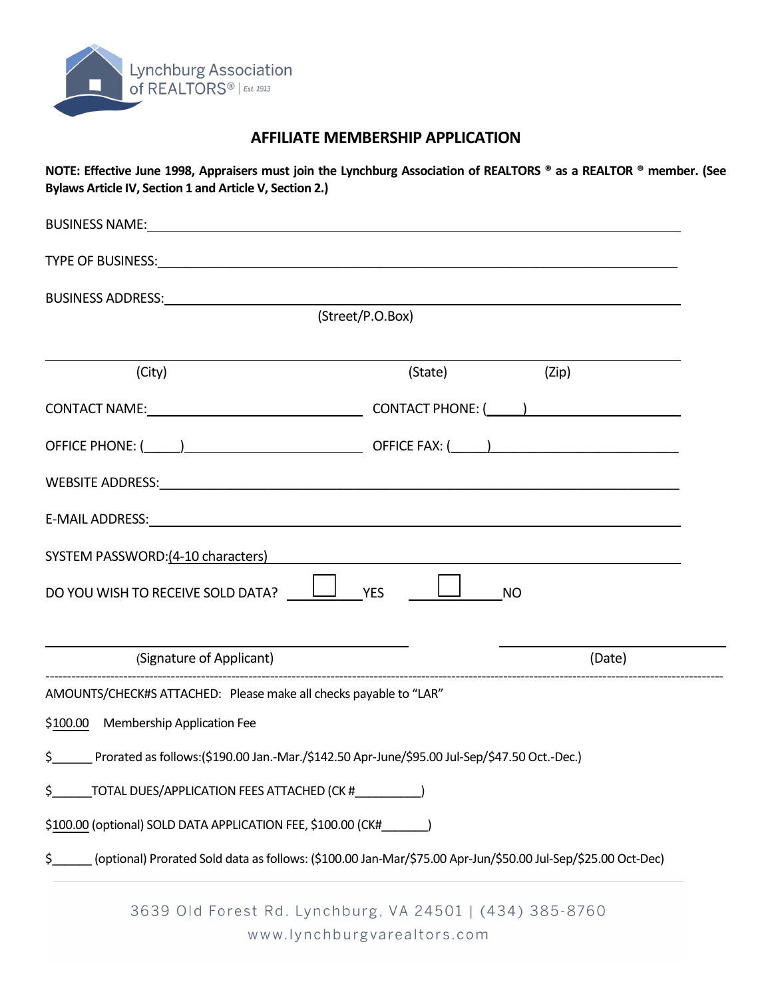

## **AFFILIATE MEMBERSHIP APPLICATION**

**NOTE: Effective June 1998, Appraisers must join the Lynchburg Association of REALTORS ® as a REALTOR ® member. (See Bylaws Article IV, Section 1 and Article V, Section 2.)** 

| <b>BUSINESS NAME:</b>                                             |                                                                                                              |
|-------------------------------------------------------------------|--------------------------------------------------------------------------------------------------------------|
|                                                                   |                                                                                                              |
|                                                                   |                                                                                                              |
|                                                                   | (Street/P.O.Box)                                                                                             |
| (City)                                                            | (State) (Zip)                                                                                                |
|                                                                   | CONTACT NAME: CONTACT PHONE: ( )                                                                             |
|                                                                   |                                                                                                              |
|                                                                   |                                                                                                              |
|                                                                   |                                                                                                              |
| SYSTEM PASSWORD: (4-10 characters)                                |                                                                                                              |
| DO YOU WISH TO RECEIVE SOLD DATA? $\Box$ YES                      | <b>NO</b>                                                                                                    |
| (Signature of Applicant)                                          | (Date)                                                                                                       |
| AMOUNTS/CHECK#S ATTACHED: Please make all checks payable to "LAR" |                                                                                                              |
| \$100.00 Membership Application Fee                               |                                                                                                              |
| $\sharp$ and $\sharp$                                             | Prorated as follows:(\$190.00 Jan.-Mar./\$142.50 Apr-June/\$95.00 Jul-Sep/\$47.50 Oct.-Dec.)                 |
| \$<br>TOTAL DUES/APPLICATION FEES ATTACHED (CK #                  |                                                                                                              |
| \$100.00 (optional) SOLD DATA APPLICATION FEE, \$100.00 (CK#      |                                                                                                              |
| \$                                                                | (optional) Prorated Sold data as follows: (\$100.00 Jan-Mar/\$75.00 Apr-Jun/\$50.00 Jul-Sep/\$25.00 Oct-Dec) |
|                                                                   |                                                                                                              |

3639 Old Forest Rd. Lynchburg, VA 24501 | (434) 385-8760 www.lynchburgvarealtors.com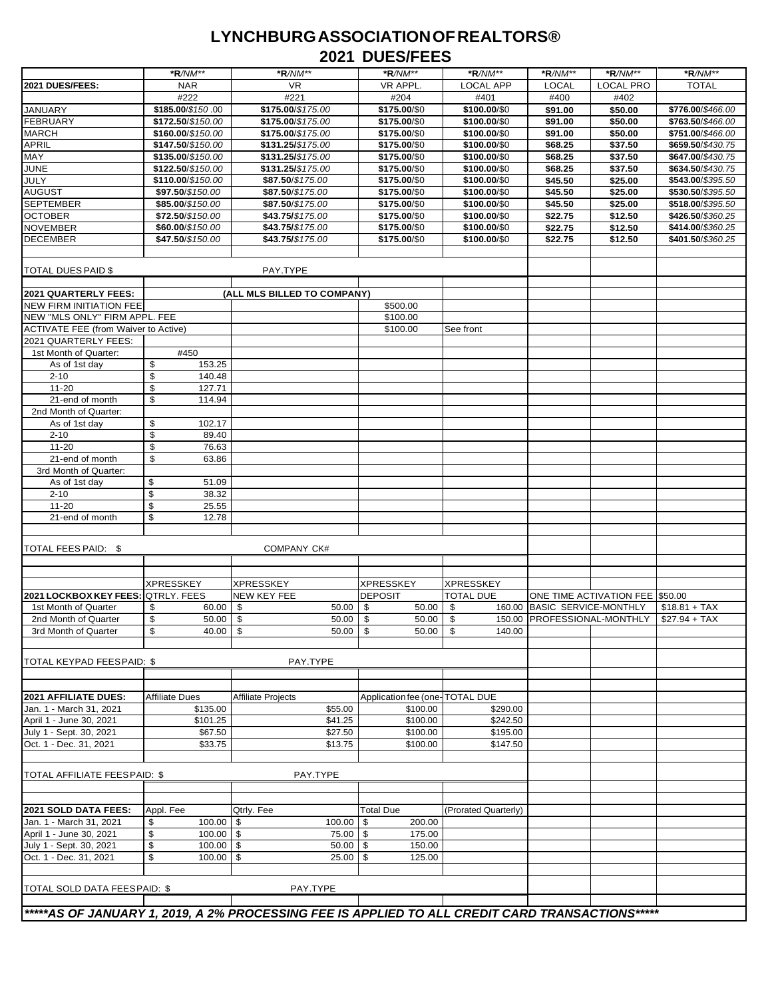## **LYNCHBURGASSOCIATIONOFREALTORS® 2021 DUES/FEES**

|                                              | *R/NM**                             | *R/NM**                                                                                         | *R/NM**                        | *R/NM**              | $*R/NM**$                    | *R/NM**                         | *R/NM**           |  |  |
|----------------------------------------------|-------------------------------------|-------------------------------------------------------------------------------------------------|--------------------------------|----------------------|------------------------------|---------------------------------|-------------------|--|--|
| 2021 DUES/FEES:                              | <b>NAR</b>                          | <b>VR</b>                                                                                       | VR APPL.                       | <b>LOCAL APP</b>     | <b>LOCAL</b>                 | <b>LOCAL PRO</b>                | <b>TOTAL</b>      |  |  |
|                                              | #222                                | #221                                                                                            | #204                           | #401                 | #400                         | #402                            |                   |  |  |
| <b>JANUARY</b>                               | \$185.00/\$150.00                   | \$175.00/\$175.00                                                                               | \$175.00/\$0                   | \$100.00/\$0         | \$91.00                      | \$50.00                         | \$776.00/\$466.00 |  |  |
| <b>FEBRUARY</b>                              | \$172.50/\$150.00                   | \$175.00/\$175.00                                                                               | \$175.00/\$0                   | \$100.00/\$0         | \$91.00                      | \$50.00                         | \$763.50/\$466.00 |  |  |
| <b>MARCH</b>                                 | \$160.00/\$150.00                   | \$175.00/\$175.00                                                                               | \$175.00/\$0                   | \$100.00/\$0         | \$91.00                      | \$50.00                         | \$751.00/\$466.00 |  |  |
| <b>APRIL</b>                                 | \$147.50/\$150.00                   | \$131.25/\$175.00                                                                               | \$175.00/\$0                   | \$100.00/\$0         | \$68.25                      | \$37.50                         | \$659.50/\$430.75 |  |  |
| MAY                                          | \$135.00/\$150.00                   | \$131.25/\$175.00                                                                               | \$175.00/\$0                   | \$100.00/\$0         | \$68.25                      | \$37.50                         | \$647.00/\$430.75 |  |  |
| <b>JUNE</b>                                  | \$122.50/\$150.00                   | \$131.25/\$175.00                                                                               | \$175.00/\$0                   | \$100.00/\$0         | \$68.25                      | \$37.50                         | \$634.50/\$430.75 |  |  |
| <b>JULY</b>                                  | \$110.00/\$150.00                   | \$87.50/\$175.00                                                                                | \$175.00/\$0                   | \$100.00/\$0         | \$45.50                      | \$25.00                         | \$543.00/\$395.50 |  |  |
| <b>AUGUST</b>                                | \$97.50/\$150.00                    | \$87.50/\$175.00                                                                                | \$175.00/\$0                   | \$100.00/\$0         | \$45.50                      | \$25.00                         | \$530.50/\$395.50 |  |  |
| <b>SEPTEMBER</b>                             | \$85.00/\$150.00                    | \$87.50/\$175.00                                                                                | \$175.00/\$0                   | \$100.00/\$0         | \$45.50                      | \$25.00                         | \$518.00/\$395.50 |  |  |
| <b>OCTOBER</b>                               | \$72.50/\$150.00                    | \$43.75/\$175.00                                                                                | \$175.00/\$0                   | \$100.00/\$0         | \$22.75                      | \$12.50                         | \$426.50/\$360.25 |  |  |
| <b>NOVEMBER</b>                              | \$60.00/\$150.00                    | \$43.75/\$175.00                                                                                | \$175.00/\$0                   | \$100.00/\$0         | \$22.75                      | \$12.50                         | \$414.00/\$360.25 |  |  |
| <b>DECEMBER</b>                              | \$47.50/\$150.00                    | \$43.75/\$175.00                                                                                | \$175.00/\$0                   | \$100.00/\$0         | \$22.75                      | \$12.50                         | \$401.50/\$360.25 |  |  |
|                                              |                                     |                                                                                                 |                                |                      |                              |                                 |                   |  |  |
|                                              |                                     |                                                                                                 |                                |                      |                              |                                 |                   |  |  |
| <b>TOTAL DUES PAID \$</b>                    |                                     | PAY.TYPE                                                                                        |                                |                      |                              |                                 |                   |  |  |
|                                              |                                     |                                                                                                 |                                |                      |                              |                                 |                   |  |  |
| 2021 QUARTERLY FEES:                         |                                     | (ALL MLS BILLED TO COMPANY)                                                                     |                                |                      |                              |                                 |                   |  |  |
| <b>NEW FIRM INITIATION FEE</b>               |                                     |                                                                                                 | \$500.00                       |                      |                              |                                 |                   |  |  |
| NEW "MLS ONLY" FIRM APPL. FEE                |                                     |                                                                                                 | \$100.00                       |                      |                              |                                 |                   |  |  |
| <b>ACTIVATE FEE (from Waiver to Active)</b>  |                                     |                                                                                                 | \$100.00                       | See front            |                              |                                 |                   |  |  |
| 2021 QUARTERLY FEES:                         |                                     |                                                                                                 |                                |                      |                              |                                 |                   |  |  |
| 1st Month of Quarter:                        | #450                                |                                                                                                 |                                |                      |                              |                                 |                   |  |  |
| As of 1st day                                | \$<br>153.25                        |                                                                                                 |                                |                      |                              |                                 |                   |  |  |
| $2 - 10$                                     | \$<br>140.48                        |                                                                                                 |                                |                      |                              |                                 |                   |  |  |
| $11 - 20$                                    | \$<br>127.71                        |                                                                                                 |                                |                      |                              |                                 |                   |  |  |
| 21-end of month                              | \$<br>114.94                        |                                                                                                 |                                |                      |                              |                                 |                   |  |  |
| 2nd Month of Quarter:                        |                                     |                                                                                                 |                                |                      |                              |                                 |                   |  |  |
| As of 1st day                                | \$<br>102.17                        |                                                                                                 |                                |                      |                              |                                 |                   |  |  |
| $2 - 10$                                     | \$<br>89.40                         |                                                                                                 |                                |                      |                              |                                 |                   |  |  |
| $11 - 20$                                    | \$<br>76.63                         |                                                                                                 |                                |                      |                              |                                 |                   |  |  |
| 21-end of month                              | \$<br>63.86                         |                                                                                                 |                                |                      |                              |                                 |                   |  |  |
| 3rd Month of Quarter:                        |                                     |                                                                                                 |                                |                      |                              |                                 |                   |  |  |
| As of 1st day                                | \$<br>51.09                         |                                                                                                 |                                |                      |                              |                                 |                   |  |  |
| $2 - 10$                                     | \$<br>38.32                         |                                                                                                 |                                |                      |                              |                                 |                   |  |  |
| $11 - 20$                                    | \$<br>25.55                         |                                                                                                 |                                |                      |                              |                                 |                   |  |  |
| 21-end of month                              | \$<br>12.78                         |                                                                                                 |                                |                      |                              |                                 |                   |  |  |
|                                              |                                     |                                                                                                 |                                |                      |                              |                                 |                   |  |  |
| TOTAL FEES PAID: \$                          |                                     | COMPANY CK#                                                                                     |                                |                      |                              |                                 |                   |  |  |
|                                              |                                     |                                                                                                 |                                |                      |                              |                                 |                   |  |  |
|                                              |                                     |                                                                                                 |                                |                      |                              |                                 |                   |  |  |
|                                              | <b>XPRESSKEY</b>                    | <b>XPRESSKEY</b>                                                                                | <b>XPRESSKEY</b>               | <b>XPRESSKEY</b>     |                              |                                 |                   |  |  |
| 2021 LOCKBOX KEY FEES:                       | <b>QTRLY. FEES</b>                  | NEW KEY FEE                                                                                     | <b>DEPOSIT</b>                 | <b>TOTAL DUE</b>     |                              | ONE TIME ACTIVATION FEE \$50.00 |                   |  |  |
| 1st Month of Quarter                         | \$<br>60.00                         | 50.00<br>\$                                                                                     | 50.00<br>\$                    | \$                   | 160.00 BASIC SERVICE-MONTHLY |                                 | $$18.81 + TAX$    |  |  |
|                                              | \$                                  | \$<br>50.00                                                                                     | l \$<br>50.00                  | -\$                  | 150.00 PROFESSIONAL-MONTHLY  |                                 | $$27.94 + TAX$    |  |  |
| 2nd Month of Quarter<br>3rd Month of Quarter | 50.00<br>$\mathbb{S}$<br>$40.00$ \$ | $50.00$ \$                                                                                      | 50.00 \$                       | 140.00               |                              |                                 |                   |  |  |
|                                              |                                     |                                                                                                 |                                |                      |                              |                                 |                   |  |  |
|                                              |                                     |                                                                                                 |                                |                      |                              |                                 |                   |  |  |
| TOTAL KEYPAD FEES PAID: \$                   |                                     | PAY.TYPE                                                                                        |                                |                      |                              |                                 |                   |  |  |
|                                              |                                     |                                                                                                 |                                |                      |                              |                                 |                   |  |  |
|                                              |                                     |                                                                                                 |                                |                      |                              |                                 |                   |  |  |
| 2021 AFFILIATE DUES:                         | <b>Affiliate Dues</b>               | Affiliate Projects                                                                              | Application fee (one-TOTAL DUE |                      |                              |                                 |                   |  |  |
| Jan. 1 - March 31, 2021                      | \$135.00                            | \$55.00                                                                                         | \$100.00                       | \$290.00             |                              |                                 |                   |  |  |
| April 1 - June 30, 2021                      | \$101.25                            | \$41.25                                                                                         | \$100.00                       | \$242.50             |                              |                                 |                   |  |  |
| July 1 - Sept. 30, 2021                      | \$67.50                             | \$27.50                                                                                         | \$100.00                       | \$195.00             |                              |                                 |                   |  |  |
| Oct. 1 - Dec. 31, 2021                       | \$33.75                             | \$13.75                                                                                         | \$100.00                       | \$147.50             |                              |                                 |                   |  |  |
|                                              |                                     |                                                                                                 |                                |                      |                              |                                 |                   |  |  |
|                                              |                                     |                                                                                                 |                                |                      |                              |                                 |                   |  |  |
| TOTAL AFFILIATE FEES PAID: \$                |                                     | PAY.TYPE                                                                                        |                                |                      |                              |                                 |                   |  |  |
|                                              |                                     |                                                                                                 |                                |                      |                              |                                 |                   |  |  |
|                                              |                                     |                                                                                                 |                                |                      |                              |                                 |                   |  |  |
| 2021 SOLD DATA FEES:                         | Appl. Fee                           | Qtrly. Fee                                                                                      | <b>Total Due</b>               | (Prorated Quarterly) |                              |                                 |                   |  |  |
| Jan. 1 - March 31, 2021                      | \$<br>100.00                        | $100.00$ \$<br>\$                                                                               | 200.00                         |                      |                              |                                 |                   |  |  |
| April 1 - June 30, 2021                      | \$<br>$100.00$ \$                   | 75.00 \$                                                                                        | 175.00                         |                      |                              |                                 |                   |  |  |
| July 1 - Sept. 30, 2021                      | \$<br>100.00                        | <b>\$</b><br>$50.00$ \$                                                                         | 150.00                         |                      |                              |                                 |                   |  |  |
| Oct. 1 - Dec. 31, 2021                       | \$<br>100.00                        | \$<br>$25.00$ \ \$                                                                              | 125.00                         |                      |                              |                                 |                   |  |  |
|                                              |                                     |                                                                                                 |                                |                      |                              |                                 |                   |  |  |
| TOTAL SOLD DATA FEES PAID: \$                |                                     | PAY.TYPE                                                                                        |                                |                      |                              |                                 |                   |  |  |
|                                              |                                     |                                                                                                 |                                |                      |                              |                                 |                   |  |  |
|                                              |                                     | *****AS OF JANUARY 1, 2019, A 2% PROCESSING FEE IS APPLIED TO ALL CREDIT CARD TRANSACTIONS***** |                                |                      |                              |                                 |                   |  |  |
|                                              |                                     |                                                                                                 |                                |                      |                              |                                 |                   |  |  |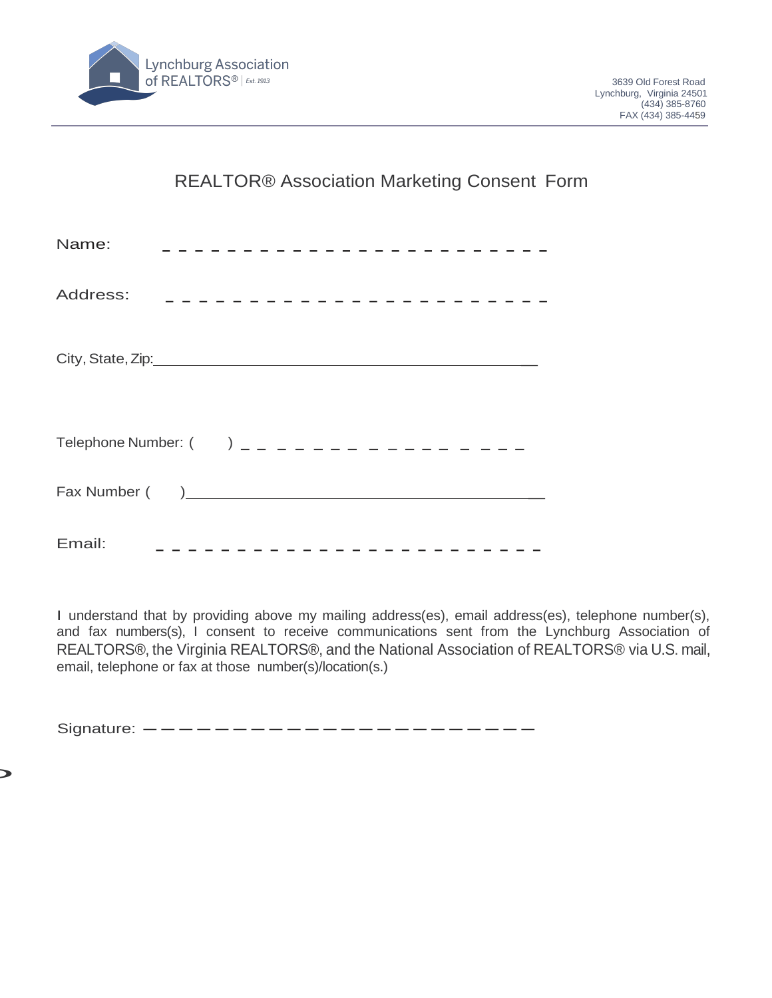

REALTOR® Association Marketing Consent Form

| Name:<br>-----------------------                      |
|-------------------------------------------------------|
| Address:<br>__________________________                |
|                                                       |
| Telephone Number: $($ $)$ $=$ $=$ $ =$ $ =$ $      -$ |
|                                                       |
| Email:<br>________________________                    |

I understand that by providing above my mailing address(es), email address(es), telephone number(s), and fax numbers(s), I consent to receive communications sent from the Lynchburg Association of REALTORS®, the Virginia REALTORS®, and the National Association of REALTORS® via U.S. mail, email, telephone or fax at those number(s)/location(s.)

Signature: ----------------------

D